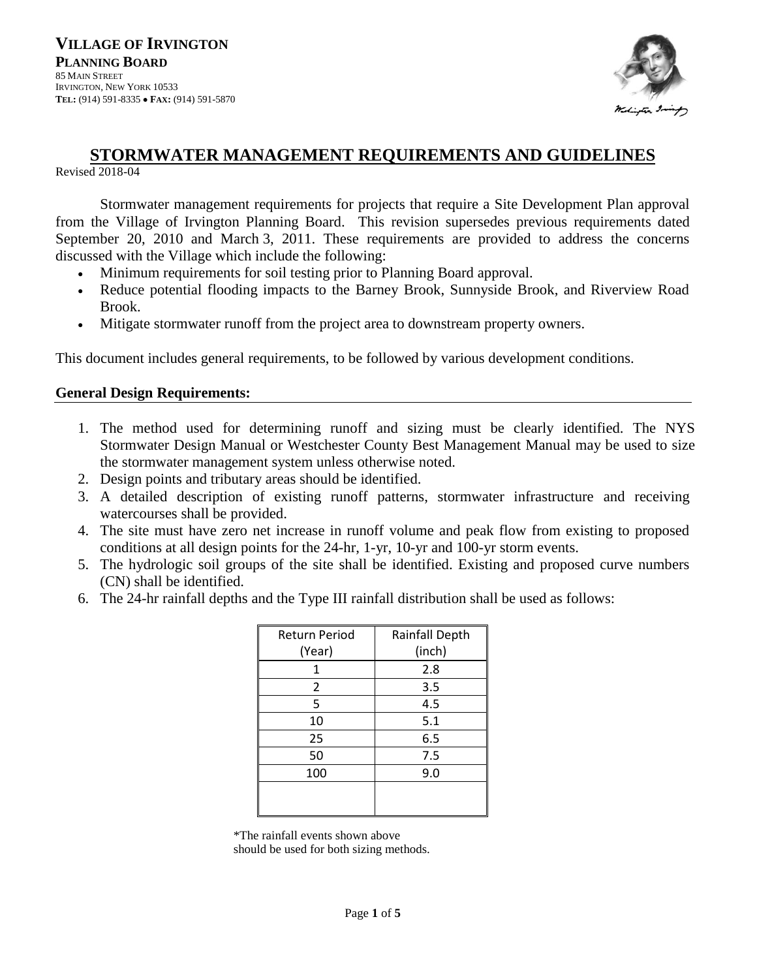

# **STORMWATER MANAGEMENT REQUIREMENTS AND GUIDELINES**

Revised 2018-04

Stormwater management requirements for projects that require a Site Development Plan approval from the Village of Irvington Planning Board. This revision supersedes previous requirements dated September 20, 2010 and March 3, 2011. These requirements are provided to address the concerns discussed with the Village which include the following:

- Minimum requirements for soil testing prior to Planning Board approval.
- Reduce potential flooding impacts to the Barney Brook, Sunnyside Brook, and Riverview Road Brook.
- Mitigate stormwater runoff from the project area to downstream property owners.

This document includes general requirements, to be followed by various development conditions.

## **General Design Requirements:**

- 1. The method used for determining runoff and sizing must be clearly identified. The NYS Stormwater Design Manual or Westchester County Best Management Manual may be used to size the stormwater management system unless otherwise noted.
- 2. Design points and tributary areas should be identified.
- 3. A detailed description of existing runoff patterns, stormwater infrastructure and receiving watercourses shall be provided.
- 4. The site must have zero net increase in runoff volume and peak flow from existing to proposed conditions at all design points for the 24-hr, 1-yr, 10-yr and 100-yr storm events.
- 5. The hydrologic soil groups of the site shall be identified. Existing and proposed curve numbers (CN) shall be identified.
- 6. The 24-hr rainfall depths and the Type III rainfall distribution shall be used as follows:

| <b>Return Period</b> | Rainfall Depth |
|----------------------|----------------|
| (Year)               | (inch)         |
| 1                    | 2.8            |
| 2                    | 3.5            |
| 5                    | 4.5            |
| 10                   | 5.1            |
| 25                   | 6.5            |
| 50                   | 7.5            |
| 100                  | 9.0            |
|                      |                |
|                      |                |

\*The rainfall events shown above

should be used for both sizing methods.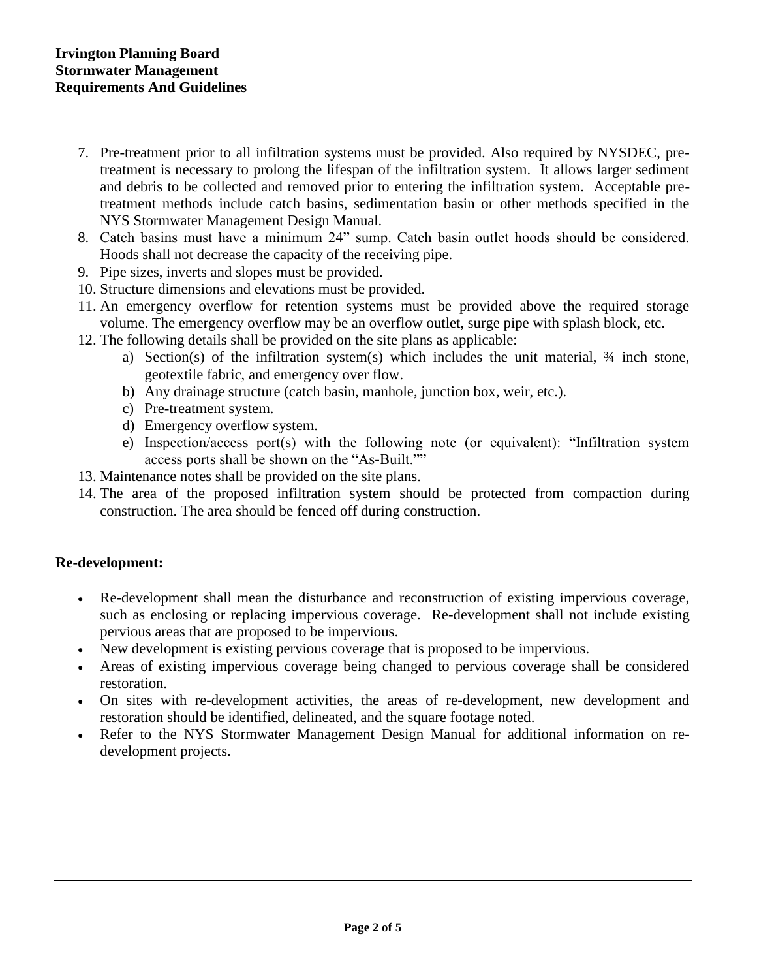- 7. Pre-treatment prior to all infiltration systems must be provided. Also required by NYSDEC, pretreatment is necessary to prolong the lifespan of the infiltration system. It allows larger sediment and debris to be collected and removed prior to entering the infiltration system. Acceptable pretreatment methods include catch basins, sedimentation basin or other methods specified in the NYS Stormwater Management Design Manual.
- 8. Catch basins must have a minimum 24" sump. Catch basin outlet hoods should be considered. Hoods shall not decrease the capacity of the receiving pipe.
- 9. Pipe sizes, inverts and slopes must be provided.
- 10. Structure dimensions and elevations must be provided.
- 11. An emergency overflow for retention systems must be provided above the required storage volume. The emergency overflow may be an overflow outlet, surge pipe with splash block, etc.
- 12. The following details shall be provided on the site plans as applicable:
	- a) Section(s) of the infiltration system(s) which includes the unit material, ¾ inch stone, geotextile fabric, and emergency over flow.
	- b) Any drainage structure (catch basin, manhole, junction box, weir, etc.).
	- c) Pre-treatment system.
	- d) Emergency overflow system.
	- e) Inspection/access port(s) with the following note (or equivalent): "Infiltration system access ports shall be shown on the "As-Built.""
- 13. Maintenance notes shall be provided on the site plans.
- 14. The area of the proposed infiltration system should be protected from compaction during construction. The area should be fenced off during construction.

### **Re-development:**

- Re-development shall mean the disturbance and reconstruction of existing impervious coverage, such as enclosing or replacing impervious coverage. Re-development shall not include existing pervious areas that are proposed to be impervious.
- New development is existing pervious coverage that is proposed to be impervious.
- Areas of existing impervious coverage being changed to pervious coverage shall be considered restoration.
- On sites with re-development activities, the areas of re-development, new development and restoration should be identified, delineated, and the square footage noted.
- Refer to the NYS Stormwater Management Design Manual for additional information on redevelopment projects.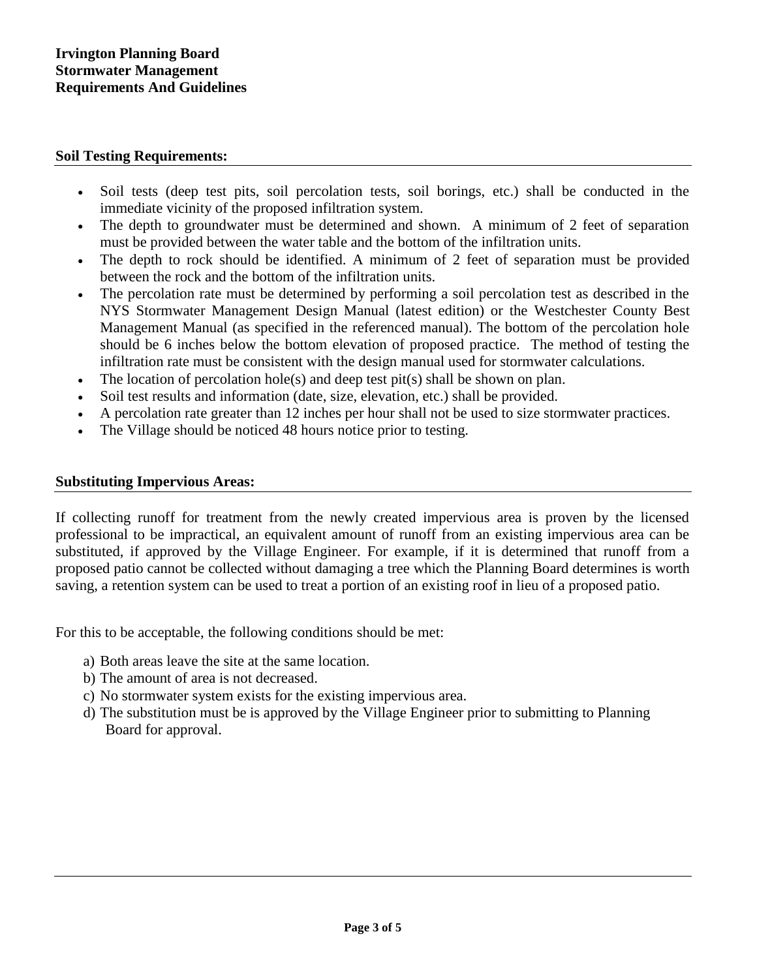### **Soil Testing Requirements:**

- Soil tests (deep test pits, soil percolation tests, soil borings, etc.) shall be conducted in the immediate vicinity of the proposed infiltration system.
- The depth to groundwater must be determined and shown. A minimum of 2 feet of separation must be provided between the water table and the bottom of the infiltration units.
- The depth to rock should be identified. A minimum of 2 feet of separation must be provided between the rock and the bottom of the infiltration units.
- The percolation rate must be determined by performing a soil percolation test as described in the NYS Stormwater Management Design Manual (latest edition) or the Westchester County Best Management Manual (as specified in the referenced manual). The bottom of the percolation hole should be 6 inches below the bottom elevation of proposed practice. The method of testing the infiltration rate must be consistent with the design manual used for stormwater calculations.
- The location of percolation hole(s) and deep test pit(s) shall be shown on plan.
- Soil test results and information (date, size, elevation, etc.) shall be provided.
- A percolation rate greater than 12 inches per hour shall not be used to size stormwater practices.
- The Village should be noticed 48 hours notice prior to testing.

#### **Substituting Impervious Areas:**

If collecting runoff for treatment from the newly created impervious area is proven by the licensed professional to be impractical, an equivalent amount of runoff from an existing impervious area can be substituted, if approved by the Village Engineer. For example, if it is determined that runoff from a proposed patio cannot be collected without damaging a tree which the Planning Board determines is worth saving, a retention system can be used to treat a portion of an existing roof in lieu of a proposed patio.

For this to be acceptable, the following conditions should be met:

- a) Both areas leave the site at the same location.
- b) The amount of area is not decreased.
- c) No stormwater system exists for the existing impervious area.
- d) The substitution must be is approved by the Village Engineer prior to submitting to Planning Board for approval.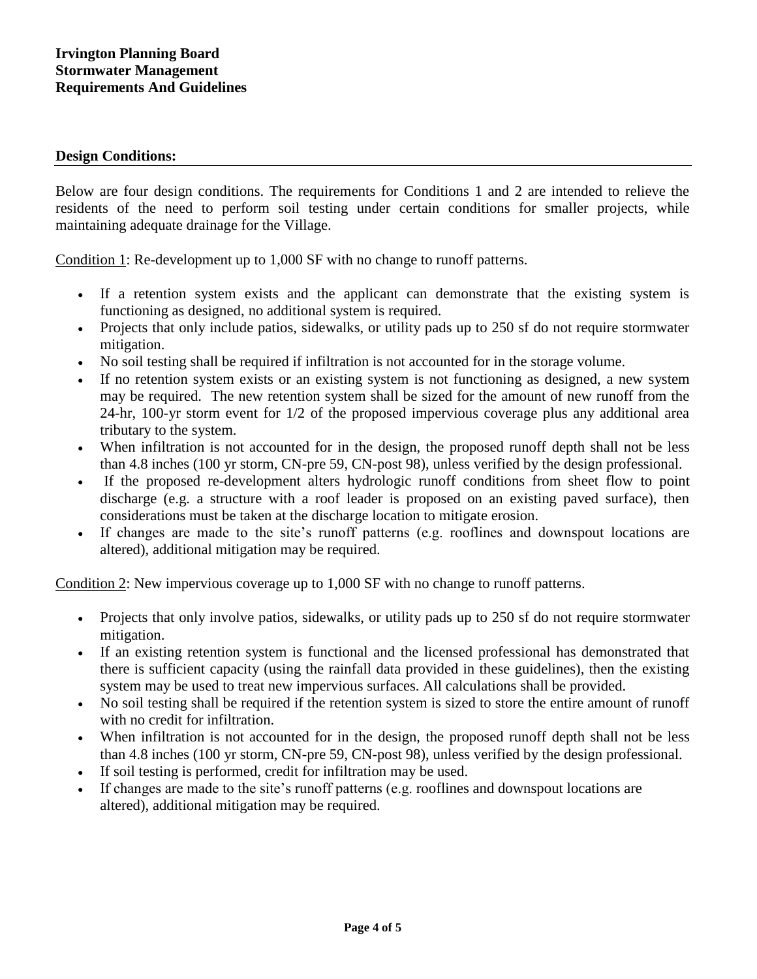#### **Design Conditions:**

Below are four design conditions. The requirements for Conditions 1 and 2 are intended to relieve the residents of the need to perform soil testing under certain conditions for smaller projects, while maintaining adequate drainage for the Village.

Condition 1: Re-development up to 1,000 SF with no change to runoff patterns.

- If a retention system exists and the applicant can demonstrate that the existing system is functioning as designed, no additional system is required.
- Projects that only include patios, sidewalks, or utility pads up to 250 sf do not require stormwater mitigation.
- No soil testing shall be required if infiltration is not accounted for in the storage volume.
- If no retention system exists or an existing system is not functioning as designed, a new system may be required. The new retention system shall be sized for the amount of new runoff from the 24-hr, 100-yr storm event for 1/2 of the proposed impervious coverage plus any additional area tributary to the system.
- When infiltration is not accounted for in the design, the proposed runoff depth shall not be less than 4.8 inches (100 yr storm, CN-pre 59, CN-post 98), unless verified by the design professional.
- If the proposed re-development alters hydrologic runoff conditions from sheet flow to point discharge (e.g. a structure with a roof leader is proposed on an existing paved surface), then considerations must be taken at the discharge location to mitigate erosion.
- If changes are made to the site's runoff patterns (e.g. rooflines and downspout locations are altered), additional mitigation may be required.

Condition 2: New impervious coverage up to 1,000 SF with no change to runoff patterns.

- Projects that only involve patios, sidewalks, or utility pads up to 250 sf do not require stormwater mitigation.
- If an existing retention system is functional and the licensed professional has demonstrated that there is sufficient capacity (using the rainfall data provided in these guidelines), then the existing system may be used to treat new impervious surfaces. All calculations shall be provided.
- No soil testing shall be required if the retention system is sized to store the entire amount of runoff with no credit for infiltration.
- When infiltration is not accounted for in the design, the proposed runoff depth shall not be less than 4.8 inches (100 yr storm, CN-pre 59, CN-post 98), unless verified by the design professional.
- If soil testing is performed, credit for infiltration may be used.
- If changes are made to the site's runoff patterns (e.g. rooflines and downspout locations are altered), additional mitigation may be required.